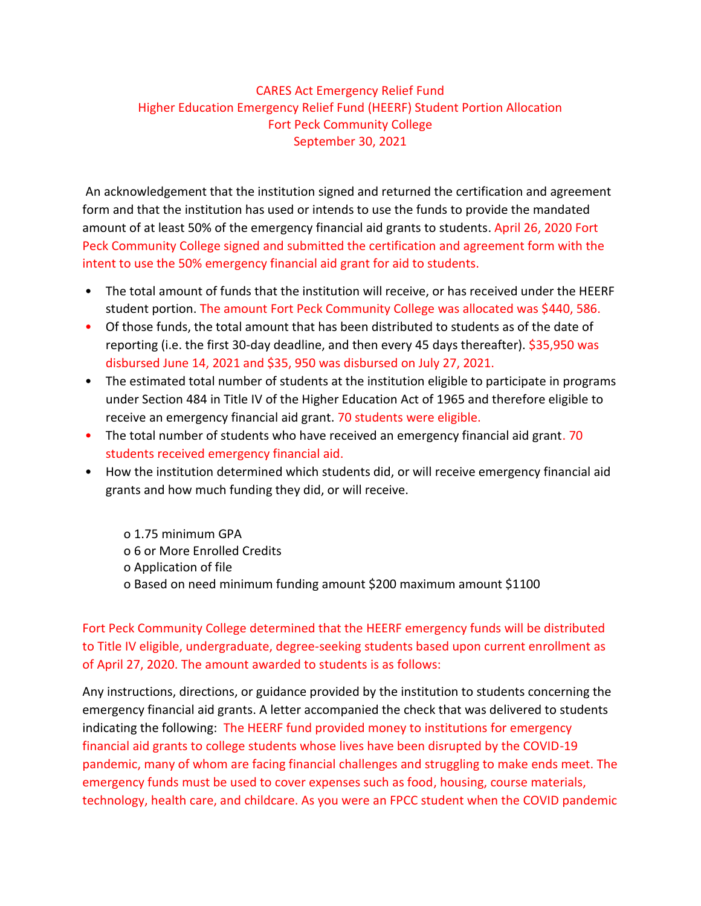## CARES Act Emergency Relief Fund Higher Education Emergency Relief Fund (HEERF) Student Portion Allocation Fort Peck Community College September 30, 2021

An acknowledgement that the institution signed and returned the certification and agreement form and that the institution has used or intends to use the funds to provide the mandated amount of at least 50% of the emergency financial aid grants to students. April 26, 2020 Fort Peck Community College signed and submitted the certification and agreement form with the intent to use the 50% emergency financial aid grant for aid to students.

- The total amount of funds that the institution will receive, or has received under the HEERF student portion. The amount Fort Peck Community College was allocated was \$440, 586.
- Of those funds, the total amount that has been distributed to students as of the date of reporting (i.e. the first 30-day deadline, and then every 45 days thereafter). \$35,950 was disbursed June 14, 2021 and \$35, 950 was disbursed on July 27, 2021.
- The estimated total number of students at the institution eligible to participate in programs under Section 484 in Title IV of the Higher Education Act of 1965 and therefore eligible to receive an emergency financial aid grant. 70 students were eligible.
- The total number of students who have received an emergency financial aid grant. 70 students received emergency financial aid.
- How the institution determined which students did, or will receive emergency financial aid grants and how much funding they did, or will receive.
	- o 1.75 minimum GPA o 6 or More Enrolled Credits o Application of file o Based on need minimum funding amount \$200 maximum amount \$1100

Fort Peck Community College determined that the HEERF emergency funds will be distributed to Title IV eligible, undergraduate, degree-seeking students based upon current enrollment as of April 27, 2020. The amount awarded to students is as follows:

Any instructions, directions, or guidance provided by the institution to students concerning the emergency financial aid grants. A letter accompanied the check that was delivered to students indicating the following: The HEERF fund provided money to institutions for emergency financial aid grants to college students whose lives have been disrupted by the COVID-19 pandemic, many of whom are facing financial challenges and struggling to make ends meet. The emergency funds must be used to cover expenses such as food, housing, course materials, technology, health care, and childcare. As you were an FPCC student when the COVID pandemic